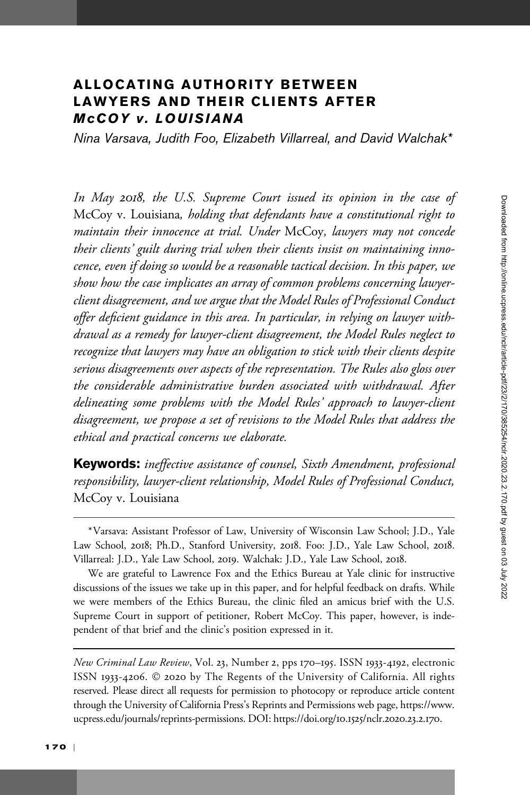# ALLOCATING AUTHORITY BETWEEN LAWYERS AND THEIR CLIENTS AFTER McCOY v. LOUISIANA

Nina Varsava, Judith Foo, Elizabeth Villarreal, and David Walchak\*

In May 2018, the U.S. Supreme Court issued its opinion in the case of McCoy v. Louisiana, holding that defendants have a constitutional right to maintain their innocence at trial. Under McCoy, lawyers may not concede their clients' guilt during trial when their clients insist on maintaining innocence, even if doing so would be a reasonable tactical decision. In this paper, we show how the case implicates an array of common problems concerning lawyerclient disagreement, and we argue that the Model Rules of Professional Conduct offer deficient guidance in this area. In particular, in relying on lawyer withdrawal as a remedy for lawyer-client disagreement, the Model Rules neglect to recognize that lawyers may have an obligation to stick with their clients despite serious disagreements over aspects of the representation. The Rules also gloss over the considerable administrative burden associated with withdrawal. After delineating some problems with the Model Rules' approach to lawyer-client disagreement, we propose a set of revisions to the Model Rules that address the ethical and practical concerns we elaborate.

Keywords: ineffective assistance of counsel, Sixth Amendment, professional responsibility, lawyer-client relationship, Model Rules of Professional Conduct, McCoy v. Louisiana

<sup>\*</sup>Varsava: Assistant Professor of Law, University of Wisconsin Law School; J.D., Yale Law School, 2018; Ph.D., Stanford University, 2018. Foo: J.D., Yale Law School, 2018. Villarreal: J.D., Yale Law School, 2019. Walchak: J.D., Yale Law School, 2018.

We are grateful to Lawrence Fox and the Ethics Bureau at Yale clinic for instructive discussions of the issues we take up in this paper, and for helpful feedback on drafts. While we were members of the Ethics Bureau, the clinic filed an amicus brief with the U.S. Supreme Court in support of petitioner, Robert McCoy. This paper, however, is independent of that brief and the clinic's position expressed in it.

New Criminal Law Review, Vol. 23, Number 2, pps 170–195. ISSN 1933-4192, electronic ISSN 1933-4206. © 2020 by The Regents of the University of California. All rights reserved. Please direct all requests for permission to photocopy or reproduce article content through the University of California Press's Reprints and Permissions web page, [https://www.](https://www.ucpress.edu/journals/reprints-permissions) [ucpress.edu/journals/reprints-permissions](https://www.ucpress.edu/journals/reprints-permissions). [DOI: https://doi.org/](https://doi.org/10.1525/nclr.2020.23.2.170)10.1525/nclr.2020.23.2.170.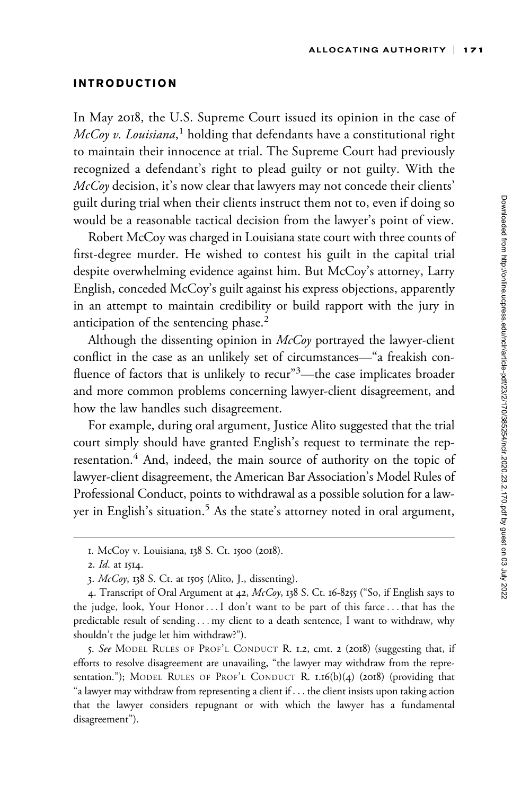### INTRODUCTION

In May 2018, the U.S. Supreme Court issued its opinion in the case of  $\mathit{McCoy}$  v. Louisiana, $^1$  holding that defendants have a constitutional right to maintain their innocence at trial. The Supreme Court had previously recognized a defendant's right to plead guilty or not guilty. With the  $McCov$  decision, it's now clear that lawyers may not concede their clients' guilt during trial when their clients instruct them not to, even if doing so would be a reasonable tactical decision from the lawyer's point of view.

Robert McCoy was charged in Louisiana state court with three counts of first-degree murder. He wished to contest his guilt in the capital trial despite overwhelming evidence against him. But McCoy's attorney, Larry English, conceded McCoy's guilt against his express objections, apparently in an attempt to maintain credibility or build rapport with the jury in anticipation of the sentencing phase.<sup>2</sup>

Although the dissenting opinion in  $McCov$  portrayed the lawyer-client conflict in the case as an unlikely set of circumstances—"a freakish confluence of factors that is unlikely to recur"<sup>3</sup>—the case implicates broader and more common problems concerning lawyer-client disagreement, and how the law handles such disagreement.

For example, during oral argument, Justice Alito suggested that the trial court simply should have granted English's request to terminate the representation.<sup>4</sup> And, indeed, the main source of authority on the topic of lawyer-client disagreement, the American Bar Association's Model Rules of Professional Conduct, points to withdrawal as a possible solution for a lawyer in English's situation.<sup>5</sup> As the state's attorney noted in oral argument,

<sup>1.</sup> McCoy v. Louisiana, 138 S. Ct. 1500 (2018).

<sup>2.</sup> Id. at 1514.

<sup>3.</sup> McCoy, 138 S. Ct. at 1505 (Alito, J., dissenting).

<sup>4.</sup> Transcript of Oral Argument at 42, McCoy, 138 S. Ct. 16-8255 ("So, if English says to the judge, look, Your Honor ...I don't want to be part of this farce... that has the predictable result of sending ... my client to a death sentence, I want to withdraw, why shouldn't the judge let him withdraw?").

<sup>5.</sup> See MODEL RULES OF PROF'L CONDUCT R. 1.2, cmt. 2 (2018) (suggesting that, if efforts to resolve disagreement are unavailing, "the lawyer may withdraw from the representation."); MODEL RULES OF PROF'L CONDUCT R. 1.16(b)(4) (2018) (providing that "a lawyer may withdraw from representing a client if ... the client insists upon taking action that the lawyer considers repugnant or with which the lawyer has a fundamental disagreement").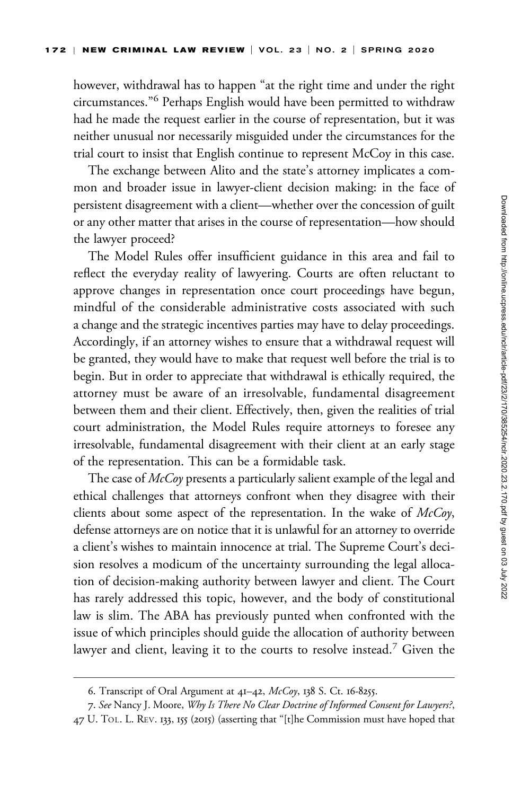however, withdrawal has to happen "at the right time and under the right circumstances."<sup>6</sup> Perhaps English would have been permitted to withdraw had he made the request earlier in the course of representation, but it was neither unusual nor necessarily misguided under the circumstances for the trial court to insist that English continue to represent McCoy in this case.

The exchange between Alito and the state's attorney implicates a common and broader issue in lawyer-client decision making: in the face of persistent disagreement with a client—whether over the concession of guilt or any other matter that arises in the course of representation—how should the lawyer proceed?

The Model Rules offer insufficient guidance in this area and fail to reflect the everyday reality of lawyering. Courts are often reluctant to approve changes in representation once court proceedings have begun, mindful of the considerable administrative costs associated with such a change and the strategic incentives parties may have to delay proceedings. Accordingly, if an attorney wishes to ensure that a withdrawal request will be granted, they would have to make that request well before the trial is to begin. But in order to appreciate that withdrawal is ethically required, the attorney must be aware of an irresolvable, fundamental disagreement between them and their client. Effectively, then, given the realities of trial court administration, the Model Rules require attorneys to foresee any irresolvable, fundamental disagreement with their client at an early stage of the representation. This can be a formidable task.

The case of McCoy presents a particularly salient example of the legal and ethical challenges that attorneys confront when they disagree with their clients about some aspect of the representation. In the wake of  $McCoy$ , defense attorneys are on notice that it is unlawful for an attorney to override a client's wishes to maintain innocence at trial. The Supreme Court's decision resolves a modicum of the uncertainty surrounding the legal allocation of decision-making authority between lawyer and client. The Court has rarely addressed this topic, however, and the body of constitutional law is slim. The ABA has previously punted when confronted with the issue of which principles should guide the allocation of authority between lawyer and client, leaving it to the courts to resolve instead.<sup>7</sup> Given the

<sup>6.</sup> Transcript of Oral Argument at 41–42, McCoy, 138 S. Ct. 16-8255.

<sup>7.</sup> See Nancy J. Moore, Why Is There No Clear Doctrine of Informed Consent for Lawyers?, 47 U. TOL. L. REV. 133, 155 (2015) (asserting that "[t]he Commission must have hoped that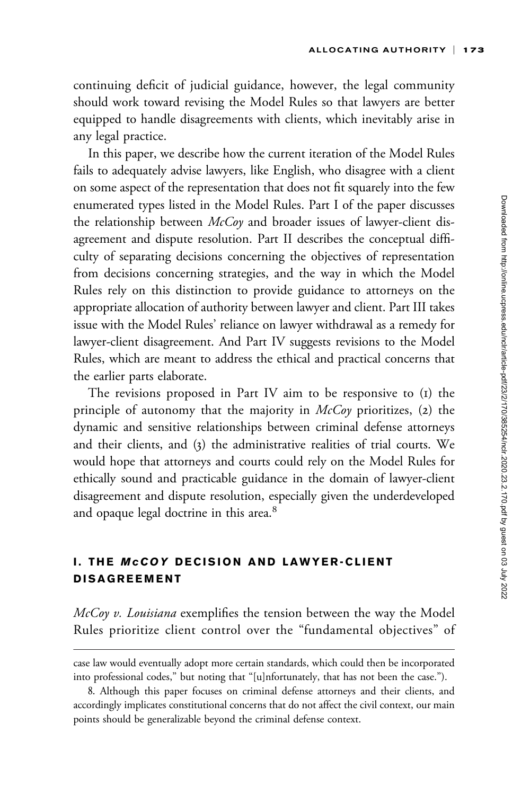continuing deficit of judicial guidance, however, the legal community should work toward revising the Model Rules so that lawyers are better equipped to handle disagreements with clients, which inevitably arise in any legal practice.

In this paper, we describe how the current iteration of the Model Rules fails to adequately advise lawyers, like English, who disagree with a client on some aspect of the representation that does not fit squarely into the few enumerated types listed in the Model Rules. Part I of the paper discusses the relationship between  $McCoy$  and broader issues of lawyer-client disagreement and dispute resolution. Part II describes the conceptual difficulty of separating decisions concerning the objectives of representation from decisions concerning strategies, and the way in which the Model Rules rely on this distinction to provide guidance to attorneys on the appropriate allocation of authority between lawyer and client. Part III takes issue with the Model Rules' reliance on lawyer withdrawal as a remedy for lawyer-client disagreement. And Part IV suggests revisions to the Model Rules, which are meant to address the ethical and practical concerns that the earlier parts elaborate.

The revisions proposed in Part IV aim to be responsive to (1) the principle of autonomy that the majority in  $McCov$  prioritizes, (2) the dynamic and sensitive relationships between criminal defense attorneys and their clients, and (3) the administrative realities of trial courts. We would hope that attorneys and courts could rely on the Model Rules for ethically sound and practicable guidance in the domain of lawyer-client disagreement and dispute resolution, especially given the underdeveloped and opaque legal doctrine in this area.<sup>8</sup>

## I. THE McCOY DECISION AND LAWYER-CLIENT DISAGREEMENT

 $McCoy$  v. Louisiana exemplifies the tension between the way the Model Rules prioritize client control over the "fundamental objectives" of

case law would eventually adopt more certain standards, which could then be incorporated into professional codes," but noting that "[u]nfortunately, that has not been the case.").

<sup>8.</sup> Although this paper focuses on criminal defense attorneys and their clients, and accordingly implicates constitutional concerns that do not affect the civil context, our main points should be generalizable beyond the criminal defense context.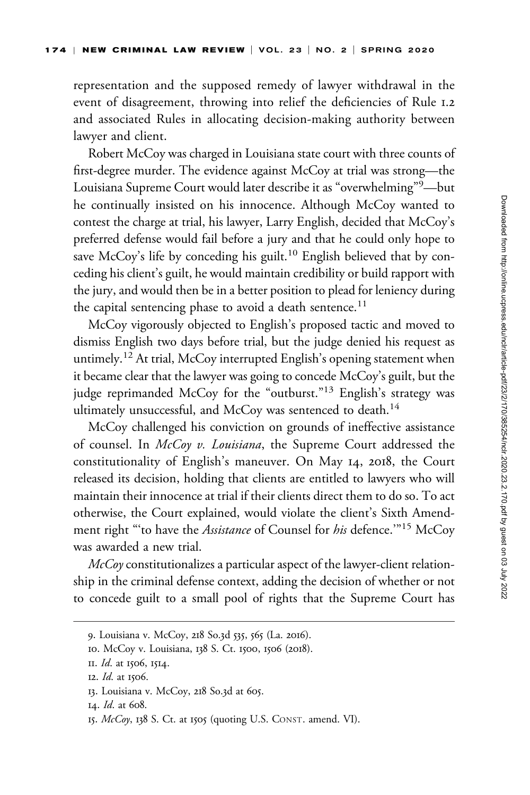representation and the supposed remedy of lawyer withdrawal in the event of disagreement, throwing into relief the deficiencies of Rule 1.2 and associated Rules in allocating decision-making authority between lawyer and client.

Robert McCoy was charged in Louisiana state court with three counts of first-degree murder. The evidence against McCoy at trial was strong—the Louisiana Supreme Court would later describe it as "overwhelming"<sup>9</sup>—but he continually insisted on his innocence. Although McCoy wanted to contest the charge at trial, his lawyer, Larry English, decided that McCoy's preferred defense would fail before a jury and that he could only hope to save McCoy's life by conceding his guilt.<sup>10</sup> English believed that by conceding his client's guilt, he would maintain credibility or build rapport with the jury, and would then be in a better position to plead for leniency during the capital sentencing phase to avoid a death sentence.<sup>11</sup>

McCoy vigorously objected to English's proposed tactic and moved to dismiss English two days before trial, but the judge denied his request as untimely.<sup>12</sup> At trial, McCoy interrupted English's opening statement when it became clear that the lawyer was going to concede McCoy's guilt, but the judge reprimanded McCoy for the "outburst."<sup>13</sup> English's strategy was ultimately unsuccessful, and McCoy was sentenced to death.<sup>14</sup>

McCoy challenged his conviction on grounds of ineffective assistance of counsel. In McCoy v. Louisiana, the Supreme Court addressed the constitutionality of English's maneuver. On May 14, 2018, the Court released its decision, holding that clients are entitled to lawyers who will maintain their innocence at trial if their clients direct them to do so. To act otherwise, the Court explained, would violate the client's Sixth Amendment right "to have the *Assistance* of Counsel for *his* defence."<sup>15</sup> McCoy was awarded a new trial.

 $McCov$  constitutionalizes a particular aspect of the lawyer-client relationship in the criminal defense context, adding the decision of whether or not to concede guilt to a small pool of rights that the Supreme Court has

<sup>9.</sup> Louisiana v. McCoy, 218 So.3d 535, 565 (La. 2016).

<sup>10.</sup> McCoy v. Louisiana, 138 S. Ct. 1500, 1506 (2018).

II. *Id.* at 1506, 1514.

<sup>12.</sup> Id. at 1506.

<sup>13.</sup> Louisiana v. McCoy, 218 So.3d at 605.

<sup>14.</sup> Id. at 608.

<sup>15.</sup> McCoy, 138 S. Ct. at 1505 (quoting U.S. CONST. amend. VI).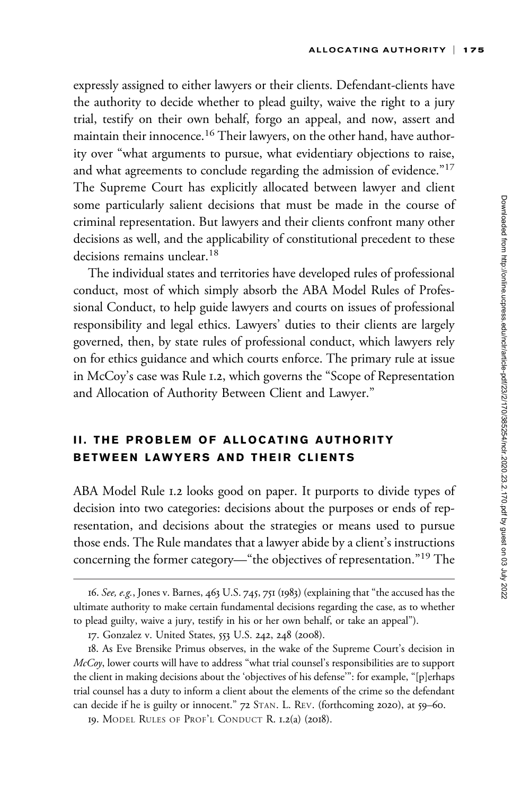expressly assigned to either lawyers or their clients. Defendant-clients have the authority to decide whether to plead guilty, waive the right to a jury trial, testify on their own behalf, forgo an appeal, and now, assert and maintain their innocence.<sup>16</sup> Their lawyers, on the other hand, have authority over "what arguments to pursue, what evidentiary objections to raise, and what agreements to conclude regarding the admission of evidence."<sup>17</sup> The Supreme Court has explicitly allocated between lawyer and client some particularly salient decisions that must be made in the course of criminal representation. But lawyers and their clients confront many other decisions as well, and the applicability of constitutional precedent to these decisions remains unclear.<sup>18</sup>

The individual states and territories have developed rules of professional conduct, most of which simply absorb the ABA Model Rules of Professional Conduct, to help guide lawyers and courts on issues of professional responsibility and legal ethics. Lawyers' duties to their clients are largely governed, then, by state rules of professional conduct, which lawyers rely on for ethics guidance and which courts enforce. The primary rule at issue in McCoy's case was Rule 1.2, which governs the "Scope of Representation and Allocation of Authority Between Client and Lawyer."

## II. THE PROBLEM OF ALLOCATING AUTHORITY BETWEEN LAWYERS AND THEIR CLIENTS

ABA Model Rule 1.2 looks good on paper. It purports to divide types of decision into two categories: decisions about the purposes or ends of representation, and decisions about the strategies or means used to pursue those ends. The Rule mandates that a lawyer abide by a client's instructions concerning the former category—"the objectives of representation."<sup>19</sup> The

<sup>16.</sup> See, e.g., Jones v. Barnes, 463 U.S. 745, 751 (1983) (explaining that "the accused has the ultimate authority to make certain fundamental decisions regarding the case, as to whether to plead guilty, waive a jury, testify in his or her own behalf, or take an appeal").

<sup>17.</sup> Gonzalez v. United States, 553 U.S. 242, 248 (2008).

<sup>18.</sup> As Eve Brensike Primus observes, in the wake of the Supreme Court's decision in McCoy, lower courts will have to address "what trial counsel's responsibilities are to support the client in making decisions about the 'objectives of his defense'": for example, "[p]erhaps trial counsel has a duty to inform a client about the elements of the crime so the defendant can decide if he is guilty or innocent." 72 STAN. L. REV. (forthcoming 2020), at 59–60.

<sup>19.</sup> MODEL RULES OF PROF'L CONDUCT R. 1.2(a) (2018).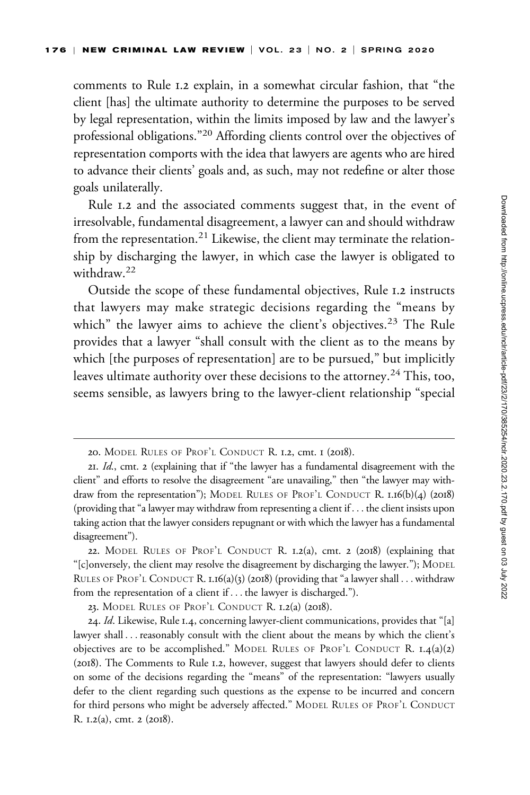comments to Rule 1.2 explain, in a somewhat circular fashion, that "the client [has] the ultimate authority to determine the purposes to be served by legal representation, within the limits imposed by law and the lawyer's professional obligations."<sup>20</sup> Affording clients control over the objectives of representation comports with the idea that lawyers are agents who are hired to advance their clients' goals and, as such, may not redefine or alter those goals unilaterally.

Rule 1.2 and the associated comments suggest that, in the event of irresolvable, fundamental disagreement, a lawyer can and should withdraw from the representation.<sup>21</sup> Likewise, the client may terminate the relationship by discharging the lawyer, in which case the lawyer is obligated to withdraw<sup>22</sup>

Outside the scope of these fundamental objectives, Rule 1.2 instructs that lawyers may make strategic decisions regarding the "means by which" the lawyer aims to achieve the client's objectives.<sup>23</sup> The Rule provides that a lawyer "shall consult with the client as to the means by which [the purposes of representation] are to be pursued," but implicitly leaves ultimate authority over these decisions to the attorney.<sup>24</sup> This, too, seems sensible, as lawyers bring to the lawyer-client relationship "special

<sup>20.</sup> MODEL RULES OF PROF'L CONDUCT R. 1.2, cmt. 1 (2018).

<sup>21.</sup> Id., cmt. 2 (explaining that if "the lawyer has a fundamental disagreement with the client" and efforts to resolve the disagreement "are unavailing," then "the lawyer may withdraw from the representation"); MODEL RULES OF PROF'L CONDUCT R. 1.16(b)(4) (2018) (providing that "a lawyer may withdraw from representing a client if  $\ldots$  the client insists upon taking action that the lawyer considers repugnant or with which the lawyer has a fundamental disagreement").

<sup>22.</sup> MODEL RULES OF PROF'L CONDUCT R. 1.2(a), cmt. 2 (2018) (explaining that "[c]onversely, the client may resolve the disagreement by discharging the lawyer."); MODEL RULES OF PROF'L CONDUCT R. 1.16(a)(3) (2018) (providing that "a lawyer shall ... withdraw from the representation of a client if ... the lawyer is discharged.").

<sup>23.</sup> MODEL RULES OF PROF'L CONDUCT R. 1.2(a) (2018).

<sup>24.</sup> Id. Likewise, Rule 1.4, concerning lawyer-client communications, provides that "[a] lawyer shall ... reasonably consult with the client about the means by which the client's objectives are to be accomplished." MODEL RULES OF PROF'L CONDUCT R.  $I.4(a)(2)$ (2018). The Comments to Rule 1.2, however, suggest that lawyers should defer to clients on some of the decisions regarding the "means" of the representation: "lawyers usually defer to the client regarding such questions as the expense to be incurred and concern for third persons who might be adversely affected." MODEL RULES OF PROF'L CONDUCT R. 1.2(a), cmt. 2 (2018).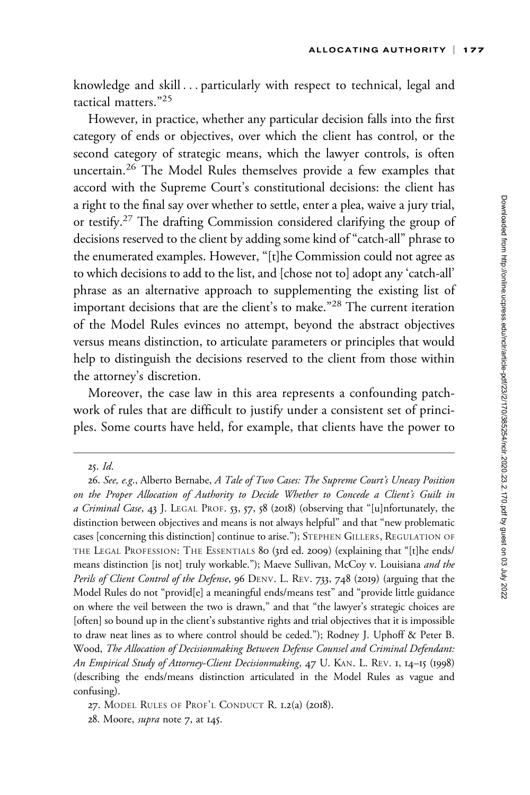knowledge and skill ... particularly with respect to technical, legal and tactical matters."25

However, in practice, whether any particular decision falls into the first category of ends or objectives, over which the client has control, or the second category of strategic means, which the lawyer controls, is often uncertain.<sup>26</sup> The Model Rules themselves provide a few examples that accord with the Supreme Court's constitutional decisions: the client has a right to the final say over whether to settle, enter a plea, waive a jury trial, or testify.<sup>27</sup> The drafting Commission considered clarifying the group of decisions reserved to the client by adding some kind of "catch-all" phrase to the enumerated examples. However, "[t]he Commission could not agree as to which decisions to add to the list, and [chose not to] adopt any 'catch-all' phrase as an alternative approach to supplementing the existing list of important decisions that are the client's to make."<sup>28</sup> The current iteration of the Model Rules evinces no attempt, beyond the abstract objectives versus means distinction, to articulate parameters or principles that would help to distinguish the decisions reserved to the client from those within the attorney's discretion.

Moreover, the case law in this area represents a confounding patchwork of rules that are difficult to justify under a consistent set of principles. Some courts have held, for example, that clients have the power to

<sup>25.</sup> Id.

<sup>26.</sup> See, e.g., Alberto Bernabe, A Tale of Two Cases: The Supreme Court's Uneasy Position on the Proper Allocation of Authority to Decide Whether to Concede a Client's Guilt in a Criminal Case, 43 J. LEGAL PROF. 53, 57, 58 (2018) (observing that "[u]nfortunately, the distinction between objectives and means is not always helpful" and that "new problematic cases [concerning this distinction] continue to arise."); STEPHEN GILLERS, REGULATION OF THE LEGAL PROFESSION: THE ESSENTIALS 80 (3rd ed. 2009) (explaining that "[t]he ends/ means distinction [is not] truly workable."); Maeve Sullivan, McCoy v. Louisiana and the Perils of Client Control of the Defense, 96 DENV. L. REV. 733, 748 (2019) (arguing that the Model Rules do not "provid[e] a meaningful ends/means test" and "provide little guidance on where the veil between the two is drawn," and that "the lawyer's strategic choices are [often] so bound up in the client's substantive rights and trial objectives that it is impossible to draw neat lines as to where control should be ceded."); Rodney J. Uphoff & Peter B. Wood, The Allocation of Decisionmaking Between Defense Counsel and Criminal Defendant: An Empirical Study of Attorney-Client Decisionmaking, 47 U. KAN. L. REV. 1, 14–15 (1998) (describing the ends/means distinction articulated in the Model Rules as vague and confusing).

<sup>27.</sup> MODEL RULES OF PROF'L CONDUCT R. 1.2(a) (2018).

<sup>28.</sup> Moore, supra note 7, at 145.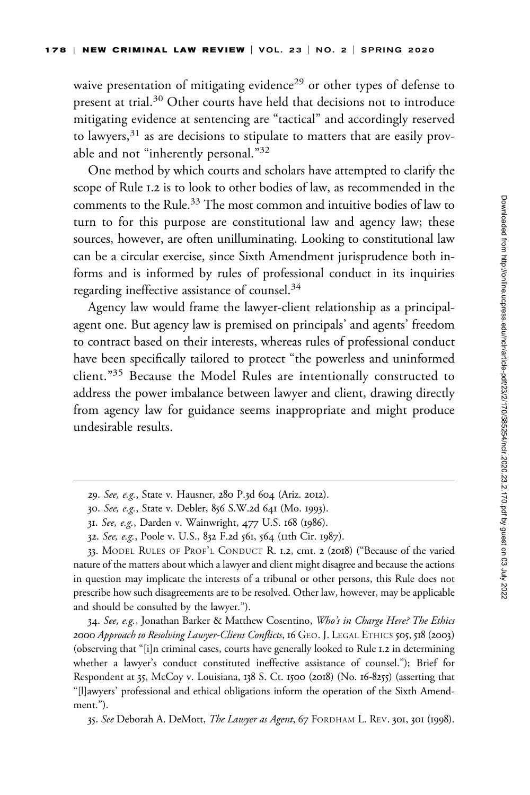waive presentation of mitigating evidence<sup>29</sup> or other types of defense to present at trial.<sup>30</sup> Other courts have held that decisions not to introduce mitigating evidence at sentencing are "tactical" and accordingly reserved to lawyers, $31$  as are decisions to stipulate to matters that are easily provable and not "inherently personal."32

One method by which courts and scholars have attempted to clarify the scope of Rule 1.2 is to look to other bodies of law, as recommended in the comments to the Rule.<sup>33</sup> The most common and intuitive bodies of law to turn to for this purpose are constitutional law and agency law; these sources, however, are often unilluminating. Looking to constitutional law can be a circular exercise, since Sixth Amendment jurisprudence both informs and is informed by rules of professional conduct in its inquiries regarding ineffective assistance of counsel.<sup>34</sup>

Agency law would frame the lawyer-client relationship as a principalagent one. But agency law is premised on principals' and agents' freedom to contract based on their interests, whereas rules of professional conduct have been specifically tailored to protect "the powerless and uninformed client."35 Because the Model Rules are intentionally constructed to address the power imbalance between lawyer and client, drawing directly from agency law for guidance seems inappropriate and might produce undesirable results.

33. MODEL RULES OF PROF'L CONDUCT R. 1.2, cmt. 2 (2018) ("Because of the varied nature of the matters about which a lawyer and client might disagree and because the actions in question may implicate the interests of a tribunal or other persons, this Rule does not prescribe how such disagreements are to be resolved. Other law, however, may be applicable and should be consulted by the lawyer.").

34. See, e.g., Jonathan Barker & Matthew Cosentino, Who's in Charge Here? The Ethics 2000 Approach to Resolving Lawyer-Client Conflicts, 16 GEO. J. LEGAL ETHICS 505, 518 (2003) (observing that "[i]n criminal cases, courts have generally looked to Rule 1.2 in determining whether a lawyer's conduct constituted ineffective assistance of counsel."); Brief for Respondent at 35, McCoy v. Louisiana, 138 S. Ct. 1500 (2018) (No. 16-8255) (asserting that "[l]awyers' professional and ethical obligations inform the operation of the Sixth Amendment.").

35. See Deborah A. DeMott, The Lawyer as Agent, 67 FORDHAM L. REV. 301, 301 (1998).

<sup>29.</sup> See, e.g., State v. Hausner, 280 P.3d 604 (Ariz. 2012).

<sup>30.</sup> See, e.g., State v. Debler, 856 S.W.2d 641 (Mo. 1993).

<sup>31.</sup> See, e.g., Darden v. Wainwright, 477 U.S. 168 (1986).

<sup>32.</sup> See, e.g., Poole v. U.S., 832 F.2d 561, 564 (11th Cir. 1987).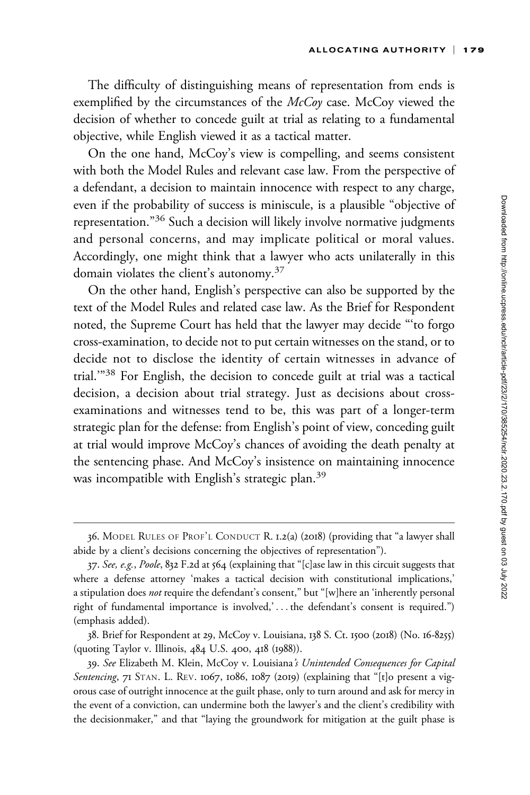The difficulty of distinguishing means of representation from ends is exemplified by the circumstances of the McCoy case. McCoy viewed the decision of whether to concede guilt at trial as relating to a fundamental objective, while English viewed it as a tactical matter.

On the one hand, McCoy's view is compelling, and seems consistent with both the Model Rules and relevant case law. From the perspective of a defendant, a decision to maintain innocence with respect to any charge, even if the probability of success is miniscule, is a plausible "objective of representation."<sup>36</sup> Such a decision will likely involve normative judgments and personal concerns, and may implicate political or moral values. Accordingly, one might think that a lawyer who acts unilaterally in this domain violates the client's autonomy.<sup>37</sup>

On the other hand, English's perspective can also be supported by the text of the Model Rules and related case law. As the Brief for Respondent noted, the Supreme Court has held that the lawyer may decide "'to forgo cross-examination, to decide not to put certain witnesses on the stand, or to decide not to disclose the identity of certain witnesses in advance of trial.'"<sup>38</sup> For English, the decision to concede guilt at trial was a tactical decision, a decision about trial strategy. Just as decisions about crossexaminations and witnesses tend to be, this was part of a longer-term strategic plan for the defense: from English's point of view, conceding guilt at trial would improve McCoy's chances of avoiding the death penalty at the sentencing phase. And McCoy's insistence on maintaining innocence was incompatible with English's strategic plan.<sup>39</sup>

<sup>36.</sup> MODEL RULES OF PROF'L CONDUCT R. 1.2(a) (2018) (providing that "a lawyer shall abide by a client's decisions concerning the objectives of representation").

<sup>37.</sup> See, e.g., Poole, 832 F.2d at 564 (explaining that "[c]ase law in this circuit suggests that where a defense attorney 'makes a tactical decision with constitutional implications,' a stipulation does not require the defendant's consent," but "[w]here an 'inherently personal right of fundamental importance is involved,' ... the defendant's consent is required.") (emphasis added).

<sup>38.</sup> Brief for Respondent at 29, McCoy v. Louisiana, 138 S. Ct. 1500 (2018) (No. 16-8255) (quoting Taylor v. Illinois, 484 U.S. 400, 418 (1988)).

<sup>39.</sup> See Elizabeth M. Klein, McCoy v. Louisiana's Unintended Consequences for Capital Sentencing, 71 STAN. L. REV. 1067, 1086, 1087 (2019) (explaining that "[t]o present a vigorous case of outright innocence at the guilt phase, only to turn around and ask for mercy in the event of a conviction, can undermine both the lawyer's and the client's credibility with the decisionmaker," and that "laying the groundwork for mitigation at the guilt phase is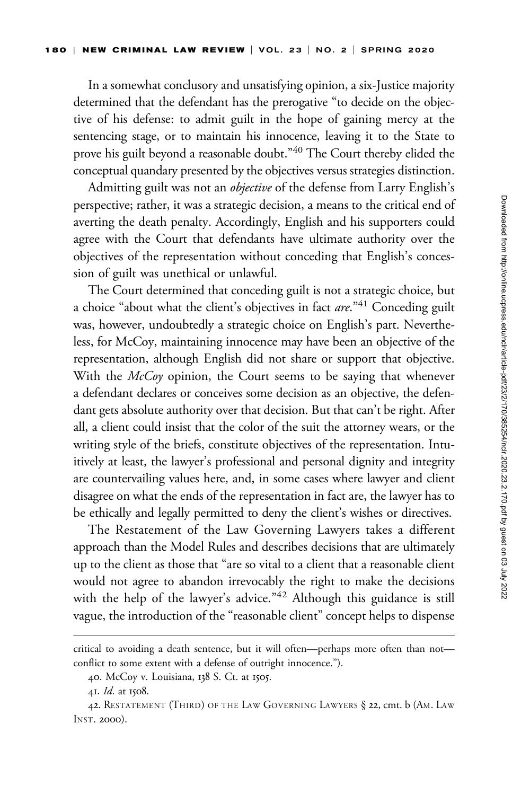In a somewhat conclusory and unsatisfying opinion, a six-Justice majority determined that the defendant has the prerogative "to decide on the objective of his defense: to admit guilt in the hope of gaining mercy at the sentencing stage, or to maintain his innocence, leaving it to the State to prove his guilt beyond a reasonable doubt."40 The Court thereby elided the conceptual quandary presented by the objectives versus strategies distinction.

Admitting guilt was not an *objective* of the defense from Larry English's perspective; rather, it was a strategic decision, a means to the critical end of averting the death penalty. Accordingly, English and his supporters could agree with the Court that defendants have ultimate authority over the objectives of the representation without conceding that English's concession of guilt was unethical or unlawful.

The Court determined that conceding guilt is not a strategic choice, but a choice "about what the client's objectives in fact  $are.^{n}$ "<sup>41</sup> Conceding guilt was, however, undoubtedly a strategic choice on English's part. Nevertheless, for McCoy, maintaining innocence may have been an objective of the representation, although English did not share or support that objective. With the *McCoy* opinion, the Court seems to be saying that whenever a defendant declares or conceives some decision as an objective, the defendant gets absolute authority over that decision. But that can't be right. After all, a client could insist that the color of the suit the attorney wears, or the writing style of the briefs, constitute objectives of the representation. Intuitively at least, the lawyer's professional and personal dignity and integrity are countervailing values here, and, in some cases where lawyer and client disagree on what the ends of the representation in fact are, the lawyer has to be ethically and legally permitted to deny the client's wishes or directives.

The Restatement of the Law Governing Lawyers takes a different approach than the Model Rules and describes decisions that are ultimately up to the client as those that "are so vital to a client that a reasonable client would not agree to abandon irrevocably the right to make the decisions with the help of the lawyer's advice."<sup>42</sup> Although this guidance is still vague, the introduction of the "reasonable client" concept helps to dispense

critical to avoiding a death sentence, but it will often—perhaps more often than not conflict to some extent with a defense of outright innocence.").

<sup>40.</sup> McCoy v. Louisiana, 138 S. Ct. at 1505.

<sup>41.</sup> Id. at 1508.

<sup>42.</sup> RESTATEMENT (THIRD) OF THE LAW GOVERNING LAWYERS § 22, cmt. b (AM. LAW INST. 2000).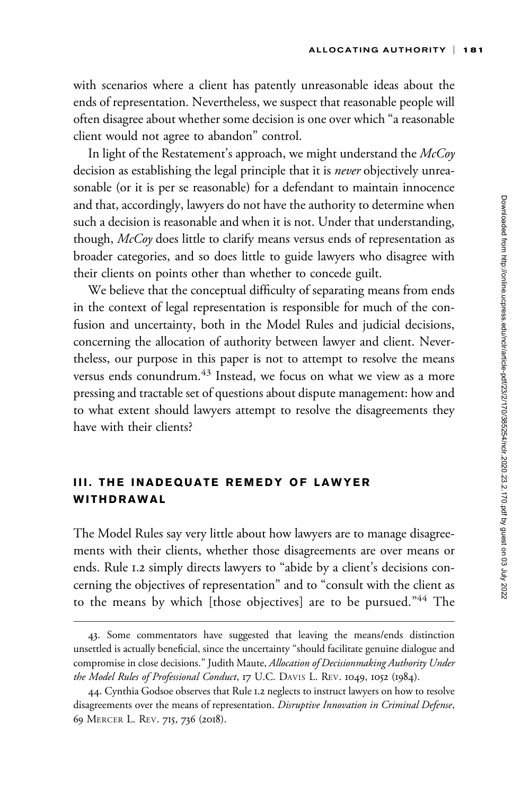with scenarios where a client has patently unreasonable ideas about the ends of representation. Nevertheless, we suspect that reasonable people will often disagree about whether some decision is one over which "a reasonable client would not agree to abandon" control.

In light of the Restatement's approach, we might understand the  $McCov$ decision as establishing the legal principle that it is *never* objectively unreasonable (or it is per se reasonable) for a defendant to maintain innocence and that, accordingly, lawyers do not have the authority to determine when such a decision is reasonable and when it is not. Under that understanding, though, McCoy does little to clarify means versus ends of representation as broader categories, and so does little to guide lawyers who disagree with their clients on points other than whether to concede guilt.

We believe that the conceptual difficulty of separating means from ends in the context of legal representation is responsible for much of the confusion and uncertainty, both in the Model Rules and judicial decisions, concerning the allocation of authority between lawyer and client. Nevertheless, our purpose in this paper is not to attempt to resolve the means versus ends conundrum.<sup>43</sup> Instead, we focus on what we view as a more pressing and tractable set of questions about dispute management: how and to what extent should lawyers attempt to resolve the disagreements they have with their clients?

# III. THE INADEQUATE REMEDY OF LAWYER WITHDRAWAL

The Model Rules say very little about how lawyers are to manage disagreements with their clients, whether those disagreements are over means or ends. Rule 1.2 simply directs lawyers to "abide by a client's decisions concerning the objectives of representation" and to "consult with the client as to the means by which [those objectives] are to be pursued."<sup>44</sup> The

<sup>43.</sup> Some commentators have suggested that leaving the means/ends distinction unsettled is actually beneficial, since the uncertainty "should facilitate genuine dialogue and compromise in close decisions." Judith Maute, Allocation of Decisionmaking Authority Under the Model Rules of Professional Conduct, 17 U.C. DAVIS L. REV. 1049, 1052 (1984).

<sup>44.</sup> Cynthia Godsoe observes that Rule 1.2 neglects to instruct lawyers on how to resolve disagreements over the means of representation. Disruptive Innovation in Criminal Defense, 69 MERCER L. REV. 715, 736 (2018).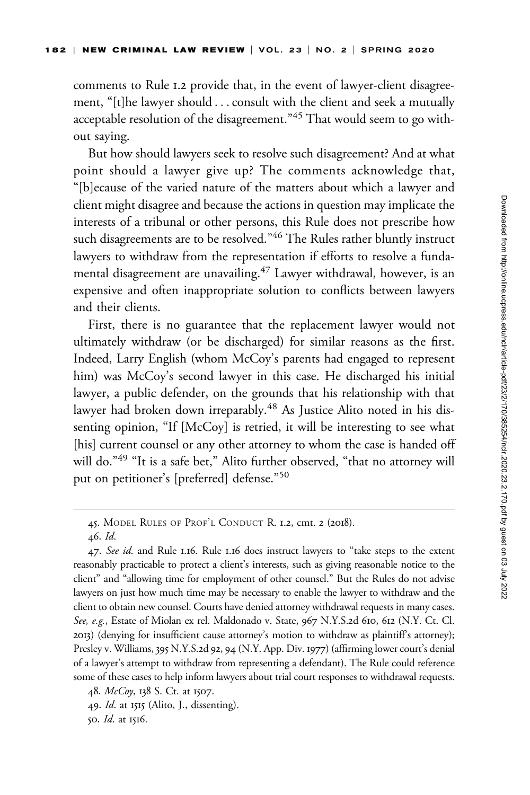comments to Rule 1.2 provide that, in the event of lawyer-client disagreement, "[t]he lawyer should ...consult with the client and seek a mutually acceptable resolution of the disagreement."<sup>45</sup> That would seem to go without saying.

But how should lawyers seek to resolve such disagreement? And at what point should a lawyer give up? The comments acknowledge that, "[b]ecause of the varied nature of the matters about which a lawyer and client might disagree and because the actions in question may implicate the interests of a tribunal or other persons, this Rule does not prescribe how such disagreements are to be resolved."<sup>46</sup> The Rules rather bluntly instruct lawyers to withdraw from the representation if efforts to resolve a fundamental disagreement are unavailing.<sup>47</sup> Lawyer withdrawal, however, is an expensive and often inappropriate solution to conflicts between lawyers and their clients.

First, there is no guarantee that the replacement lawyer would not ultimately withdraw (or be discharged) for similar reasons as the first. Indeed, Larry English (whom McCoy's parents had engaged to represent him) was McCoy's second lawyer in this case. He discharged his initial lawyer, a public defender, on the grounds that his relationship with that lawyer had broken down irreparably.<sup>48</sup> As Justice Alito noted in his dissenting opinion, "If [McCoy] is retried, it will be interesting to see what [his] current counsel or any other attorney to whom the case is handed off will do."<sup>49</sup> "It is a safe bet," Alito further observed, "that no attorney will put on petitioner's [preferred] defense."<sup>50</sup>

48. McCoy, 138 S. Ct. at 1507.

50. Id. at 1516.

<sup>45.</sup> MODEL RULES OF PROF'L CONDUCT R. 1.2, cmt. 2 (2018).

<sup>46.</sup> Id.

<sup>47.</sup> See id. and Rule 1.16. Rule 1.16 does instruct lawyers to "take steps to the extent reasonably practicable to protect a client's interests, such as giving reasonable notice to the client" and "allowing time for employment of other counsel." But the Rules do not advise lawyers on just how much time may be necessary to enable the lawyer to withdraw and the client to obtain new counsel. Courts have denied attorney withdrawal requests in many cases. See, e.g., Estate of Miolan ex rel. Maldonado v. State, 967 N.Y.S.2d 610, 612 (N.Y. Ct. Cl. 2013) (denying for insufficient cause attorney's motion to withdraw as plaintiff's attorney); Presley v. Williams, 395 N.Y.S.2d 92, 94 (N.Y. App. Div. 1977) (affirming lower court's denial of a lawyer's attempt to withdraw from representing a defendant). The Rule could reference some of these cases to help inform lawyers about trial court responses to withdrawal requests.

<sup>49.</sup> *Id.* at 1515 (Alito, J., dissenting).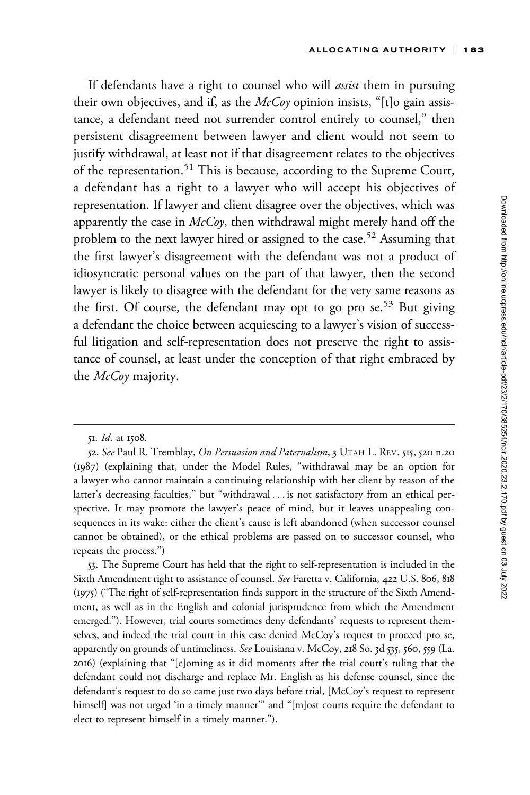If defendants have a right to counsel who will *assist* them in pursuing their own objectives, and if, as the  $McCov$  opinion insists, "[t]o gain assistance, a defendant need not surrender control entirely to counsel," then persistent disagreement between lawyer and client would not seem to justify withdrawal, at least not if that disagreement relates to the objectives of the representation.<sup>51</sup> This is because, according to the Supreme Court, a defendant has a right to a lawyer who will accept his objectives of representation. If lawyer and client disagree over the objectives, which was apparently the case in  $McCoy$ , then withdrawal might merely hand off the problem to the next lawyer hired or assigned to the case.<sup>52</sup> Assuming that the first lawyer's disagreement with the defendant was not a product of idiosyncratic personal values on the part of that lawyer, then the second lawyer is likely to disagree with the defendant for the very same reasons as the first. Of course, the defendant may opt to go pro se.<sup>53</sup> But giving a defendant the choice between acquiescing to a lawyer's vision of successful litigation and self-representation does not preserve the right to assistance of counsel, at least under the conception of that right embraced by the *McCoy* majority.

53. The Supreme Court has held that the right to self-representation is included in the Sixth Amendment right to assistance of counsel. See Faretta v. California, 422 U.S. 806, 818 (1975) ("The right of self-representation finds support in the structure of the Sixth Amendment, as well as in the English and colonial jurisprudence from which the Amendment emerged."). However, trial courts sometimes deny defendants' requests to represent themselves, and indeed the trial court in this case denied McCoy's request to proceed pro se, apparently on grounds of untimeliness. See Louisiana v. McCoy, 218 So. 3d 535, 560, 559 (La. 2016) (explaining that "[c]oming as it did moments after the trial court's ruling that the defendant could not discharge and replace Mr. English as his defense counsel, since the defendant's request to do so came just two days before trial, [McCoy's request to represent himself] was not urged 'in a timely manner'" and "[m]ost courts require the defendant to elect to represent himself in a timely manner.").

<sup>51.</sup> Id. at 1508.

<sup>52.</sup> See Paul R. Tremblay, On Persuasion and Paternalism, 3 UTAH L. REV. 515, 520 n.20 (1987) (explaining that, under the Model Rules, "withdrawal may be an option for a lawyer who cannot maintain a continuing relationship with her client by reason of the latter's decreasing faculties," but "withdrawal ... is not satisfactory from an ethical perspective. It may promote the lawyer's peace of mind, but it leaves unappealing consequences in its wake: either the client's cause is left abandoned (when successor counsel cannot be obtained), or the ethical problems are passed on to successor counsel, who repeats the process.")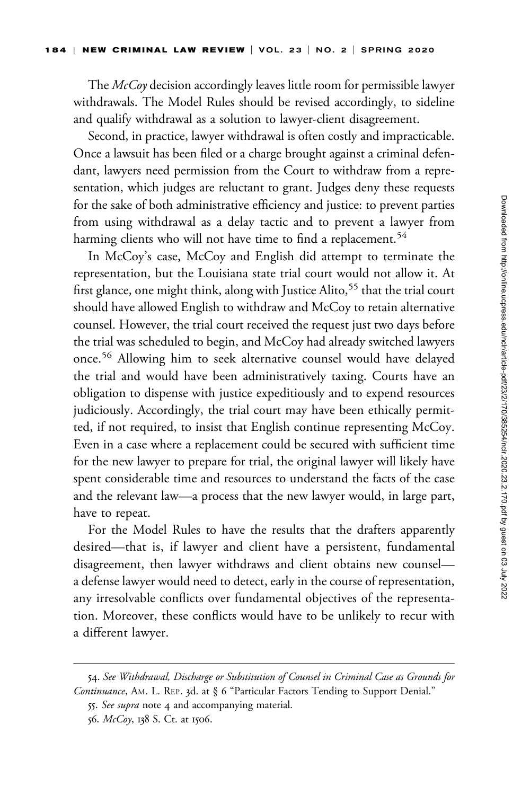The McCoy decision accordingly leaves little room for permissible lawyer withdrawals. The Model Rules should be revised accordingly, to sideline and qualify withdrawal as a solution to lawyer-client disagreement.

Second, in practice, lawyer withdrawal is often costly and impracticable. Once a lawsuit has been filed or a charge brought against a criminal defendant, lawyers need permission from the Court to withdraw from a representation, which judges are reluctant to grant. Judges deny these requests for the sake of both administrative efficiency and justice: to prevent parties from using withdrawal as a delay tactic and to prevent a lawyer from harming clients who will not have time to find a replacement.<sup>54</sup>

In McCoy's case, McCoy and English did attempt to terminate the representation, but the Louisiana state trial court would not allow it. At first glance, one might think, along with Justice Alito,<sup>55</sup> that the trial court should have allowed English to withdraw and McCoy to retain alternative counsel. However, the trial court received the request just two days before the trial was scheduled to begin, and McCoy had already switched lawyers once.<sup>56</sup> Allowing him to seek alternative counsel would have delayed the trial and would have been administratively taxing. Courts have an obligation to dispense with justice expeditiously and to expend resources judiciously. Accordingly, the trial court may have been ethically permitted, if not required, to insist that English continue representing McCoy. Even in a case where a replacement could be secured with sufficient time for the new lawyer to prepare for trial, the original lawyer will likely have spent considerable time and resources to understand the facts of the case and the relevant law—a process that the new lawyer would, in large part, have to repeat.

For the Model Rules to have the results that the drafters apparently desired—that is, if lawyer and client have a persistent, fundamental disagreement, then lawyer withdraws and client obtains new counsel a defense lawyer would need to detect, early in the course of representation, any irresolvable conflicts over fundamental objectives of the representation. Moreover, these conflicts would have to be unlikely to recur with a different lawyer.

<sup>54.</sup> See Withdrawal, Discharge or Substitution of Counsel in Criminal Case as Grounds for Continuance, AM. L. REP. 3d. at § 6 "Particular Factors Tending to Support Denial."

<sup>55.</sup> See supra note 4 and accompanying material.

<sup>56.</sup> McCoy, 138 S. Ct. at 1506.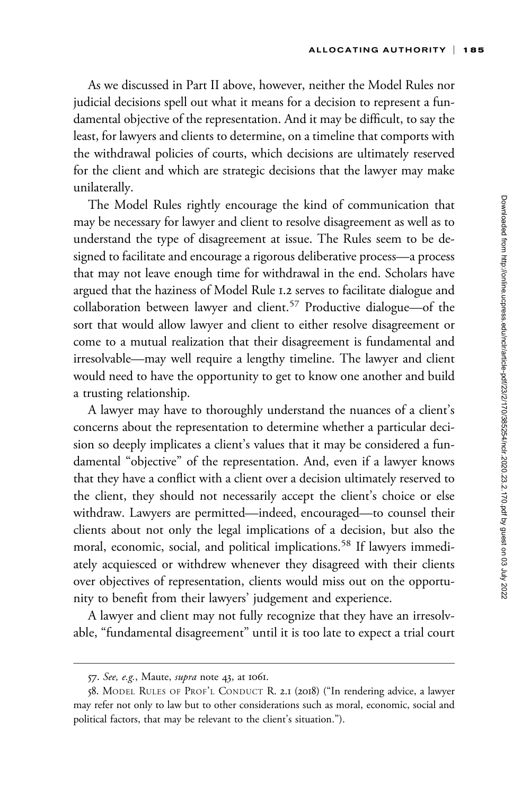As we discussed in Part II above, however, neither the Model Rules nor judicial decisions spell out what it means for a decision to represent a fundamental objective of the representation. And it may be difficult, to say the least, for lawyers and clients to determine, on a timeline that comports with the withdrawal policies of courts, which decisions are ultimately reserved for the client and which are strategic decisions that the lawyer may make unilaterally.

The Model Rules rightly encourage the kind of communication that may be necessary for lawyer and client to resolve disagreement as well as to understand the type of disagreement at issue. The Rules seem to be designed to facilitate and encourage a rigorous deliberative process—a process that may not leave enough time for withdrawal in the end. Scholars have argued that the haziness of Model Rule 1.2 serves to facilitate dialogue and collaboration between lawyer and client.<sup>57</sup> Productive dialogue—of the sort that would allow lawyer and client to either resolve disagreement or come to a mutual realization that their disagreement is fundamental and irresolvable—may well require a lengthy timeline. The lawyer and client would need to have the opportunity to get to know one another and build a trusting relationship.

A lawyer may have to thoroughly understand the nuances of a client's concerns about the representation to determine whether a particular decision so deeply implicates a client's values that it may be considered a fundamental "objective" of the representation. And, even if a lawyer knows that they have a conflict with a client over a decision ultimately reserved to the client, they should not necessarily accept the client's choice or else withdraw. Lawyers are permitted—indeed, encouraged—to counsel their clients about not only the legal implications of a decision, but also the moral, economic, social, and political implications.<sup>58</sup> If lawyers immediately acquiesced or withdrew whenever they disagreed with their clients over objectives of representation, clients would miss out on the opportunity to benefit from their lawyers' judgement and experience.

A lawyer and client may not fully recognize that they have an irresolvable, "fundamental disagreement" until it is too late to expect a trial court

<sup>57.</sup> See, e.g., Maute, *supra* note 43, at 1061.

<sup>58.</sup> MODEL RULES OF PROF'L CONDUCT R. 2.1 (2018) ("In rendering advice, a lawyer may refer not only to law but to other considerations such as moral, economic, social and political factors, that may be relevant to the client's situation.").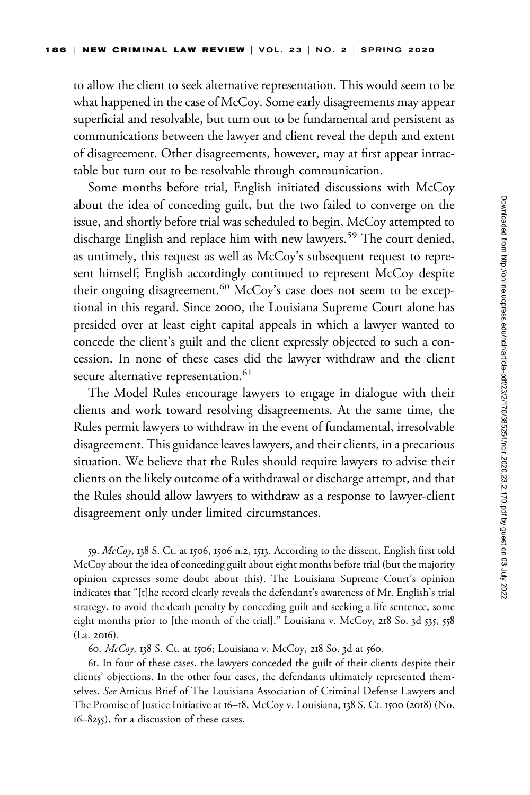to allow the client to seek alternative representation. This would seem to be what happened in the case of McCoy. Some early disagreements may appear superficial and resolvable, but turn out to be fundamental and persistent as communications between the lawyer and client reveal the depth and extent of disagreement. Other disagreements, however, may at first appear intractable but turn out to be resolvable through communication.

Some months before trial, English initiated discussions with McCoy about the idea of conceding guilt, but the two failed to converge on the issue, and shortly before trial was scheduled to begin, McCoy attempted to discharge English and replace him with new lawyers.<sup>59</sup> The court denied, as untimely, this request as well as McCoy's subsequent request to represent himself; English accordingly continued to represent McCoy despite their ongoing disagreement.<sup>60</sup> McCoy's case does not seem to be exceptional in this regard. Since 2000, the Louisiana Supreme Court alone has presided over at least eight capital appeals in which a lawyer wanted to concede the client's guilt and the client expressly objected to such a concession. In none of these cases did the lawyer withdraw and the client secure alternative representation.<sup>61</sup>

The Model Rules encourage lawyers to engage in dialogue with their clients and work toward resolving disagreements. At the same time, the Rules permit lawyers to withdraw in the event of fundamental, irresolvable disagreement. This guidance leaves lawyers, and their clients, in a precarious situation. We believe that the Rules should require lawyers to advise their clients on the likely outcome of a withdrawal or discharge attempt, and that the Rules should allow lawyers to withdraw as a response to lawyer-client disagreement only under limited circumstances.

60. McCoy, 138 S. Ct. at 1506; Louisiana v. McCoy, 218 So. 3d at 560.

61. In four of these cases, the lawyers conceded the guilt of their clients despite their clients' objections. In the other four cases, the defendants ultimately represented themselves. See Amicus Brief of The Louisiana Association of Criminal Defense Lawyers and The Promise of Justice Initiative at 16–18, McCoy v. Louisiana, 138 S. Ct. 1500 (2018) (No. 16–8255), for a discussion of these cases.

<sup>59.</sup>  $McCoy$ , 138 S. Ct. at 1506, 1506 n.2, 1513. According to the dissent, English first told McCoy about the idea of conceding guilt about eight months before trial (but the majority opinion expresses some doubt about this). The Louisiana Supreme Court's opinion indicates that "[t]he record clearly reveals the defendant's awareness of Mr. English's trial strategy, to avoid the death penalty by conceding guilt and seeking a life sentence, some eight months prior to [the month of the trial]." Louisiana v. McCoy, 218 So. 3d 535, 558 (La. 2016).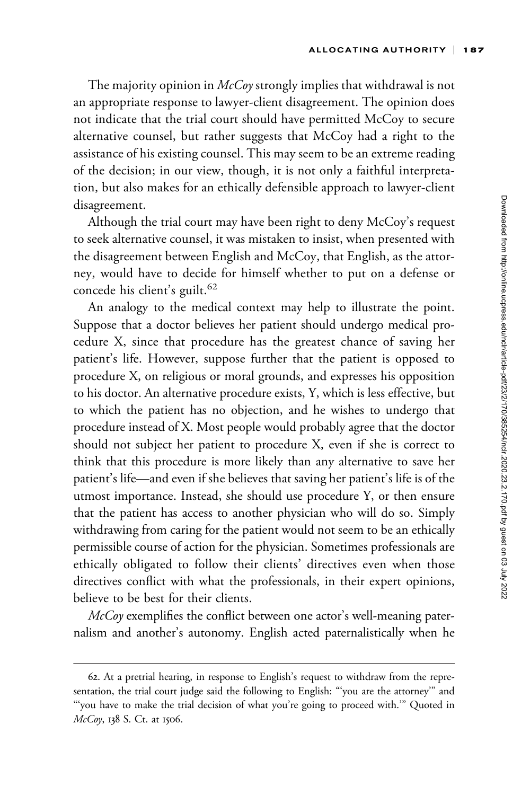The majority opinion in  $McCov$  strongly implies that withdrawal is not an appropriate response to lawyer-client disagreement. The opinion does not indicate that the trial court should have permitted McCoy to secure alternative counsel, but rather suggests that McCoy had a right to the assistance of his existing counsel. This may seem to be an extreme reading of the decision; in our view, though, it is not only a faithful interpretation, but also makes for an ethically defensible approach to lawyer-client disagreement.

Although the trial court may have been right to deny McCoy's request to seek alternative counsel, it was mistaken to insist, when presented with the disagreement between English and McCoy, that English, as the attorney, would have to decide for himself whether to put on a defense or concede his client's guilt. $62$ 

An analogy to the medical context may help to illustrate the point. Suppose that a doctor believes her patient should undergo medical procedure X, since that procedure has the greatest chance of saving her patient's life. However, suppose further that the patient is opposed to procedure X, on religious or moral grounds, and expresses his opposition to his doctor. An alternative procedure exists, Y, which is less effective, but to which the patient has no objection, and he wishes to undergo that procedure instead of X. Most people would probably agree that the doctor should not subject her patient to procedure X, even if she is correct to think that this procedure is more likely than any alternative to save her patient's life—and even if she believes that saving her patient's life is of the utmost importance. Instead, she should use procedure Y, or then ensure that the patient has access to another physician who will do so. Simply withdrawing from caring for the patient would not seem to be an ethically permissible course of action for the physician. Sometimes professionals are ethically obligated to follow their clients' directives even when those directives conflict with what the professionals, in their expert opinions, believe to be best for their clients.

 $McCov$  exemplifies the conflict between one actor's well-meaning paternalism and another's autonomy. English acted paternalistically when he

<sup>62.</sup> At a pretrial hearing, in response to English's request to withdraw from the representation, the trial court judge said the following to English: "'you are the attorney'" and "'you have to make the trial decision of what you're going to proceed with.'" Quoted in McCoy, 138 S. Ct. at 1506.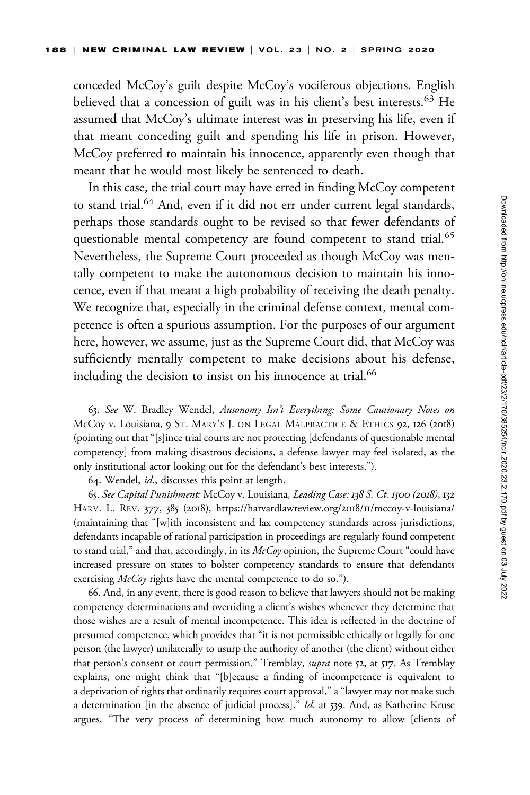conceded McCoy's guilt despite McCoy's vociferous objections. English believed that a concession of guilt was in his client's best interests.<sup>63</sup> He assumed that McCoy's ultimate interest was in preserving his life, even if that meant conceding guilt and spending his life in prison. However, McCoy preferred to maintain his innocence, apparently even though that meant that he would most likely be sentenced to death.

In this case, the trial court may have erred in finding McCoy competent to stand trial.<sup>64</sup> And, even if it did not err under current legal standards, perhaps those standards ought to be revised so that fewer defendants of questionable mental competency are found competent to stand trial.<sup>65</sup> Nevertheless, the Supreme Court proceeded as though McCoy was mentally competent to make the autonomous decision to maintain his innocence, even if that meant a high probability of receiving the death penalty. We recognize that, especially in the criminal defense context, mental competence is often a spurious assumption. For the purposes of our argument here, however, we assume, just as the Supreme Court did, that McCoy was sufficiently mentally competent to make decisions about his defense, including the decision to insist on his innocence at trial.<sup>66</sup>

64. Wendel, id., discusses this point at length.

65. See Capital Punishment: McCoy v. Louisiana, Leading Case: 138 S. Ct. 1500 (2018), 132 HARV. L. REV. 377, 385 (2018), [https://harvardlawreview.org/](https://harvardlawreview.org/2018/11/mccoy-v-louisiana/)2018/11/mccoy-v-louisiana/ (maintaining that "[w]ith inconsistent and lax competency standards across jurisdictions, defendants incapable of rational participation in proceedings are regularly found competent to stand trial," and that, accordingly, in its  $McCov$  opinion, the Supreme Court "could have increased pressure on states to bolster competency standards to ensure that defendants exercising McCoy rights have the mental competence to do so.").

66. And, in any event, there is good reason to believe that lawyers should not be making competency determinations and overriding a client's wishes whenever they determine that those wishes are a result of mental incompetence. This idea is reflected in the doctrine of presumed competence, which provides that "it is not permissible ethically or legally for one person (the lawyer) unilaterally to usurp the authority of another (the client) without either that person's consent or court permission." Tremblay, *supra* note 52, at 517. As Tremblay explains, one might think that "[b]ecause a finding of incompetence is equivalent to a deprivation of rights that ordinarily requires court approval," a "lawyer may not make such a determination [in the absence of judicial process]." Id. at 539. And, as Katherine Kruse argues, "The very process of determining how much autonomy to allow [clients of

<sup>63.</sup> See W. Bradley Wendel, Autonomy Isn't Everything: Some Cautionary Notes on McCoy v. Louisiana, 9 ST. MARY'S J. ON LEGAL MALPRACTICE & ETHICS 92, 126 (2018) (pointing out that "[s]ince trial courts are not protecting [defendants of questionable mental competency] from making disastrous decisions, a defense lawyer may feel isolated, as the only institutional actor looking out for the defendant's best interests.").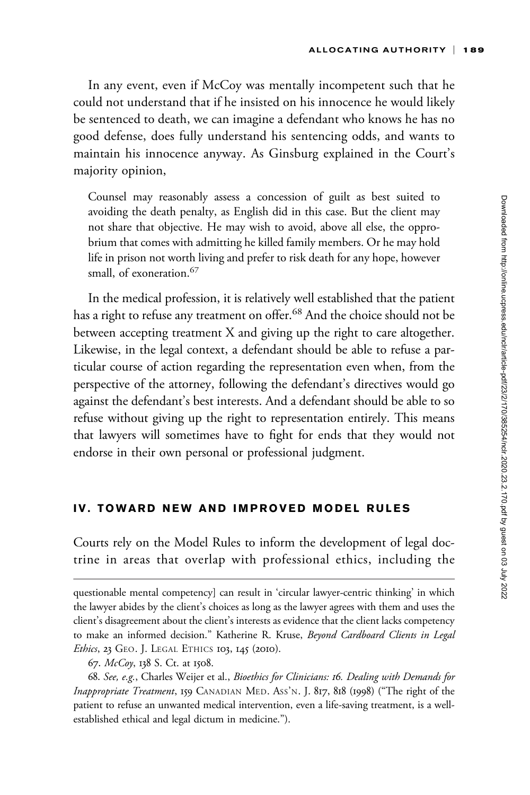In any event, even if McCoy was mentally incompetent such that he could not understand that if he insisted on his innocence he would likely be sentenced to death, we can imagine a defendant who knows he has no good defense, does fully understand his sentencing odds, and wants to maintain his innocence anyway. As Ginsburg explained in the Court's majority opinion,

Counsel may reasonably assess a concession of guilt as best suited to avoiding the death penalty, as English did in this case. But the client may not share that objective. He may wish to avoid, above all else, the opprobrium that comes with admitting he killed family members. Or he may hold life in prison not worth living and prefer to risk death for any hope, however small, of exoneration.<sup>67</sup>

In the medical profession, it is relatively well established that the patient has a right to refuse any treatment on offer.<sup>68</sup> And the choice should not be between accepting treatment X and giving up the right to care altogether. Likewise, in the legal context, a defendant should be able to refuse a particular course of action regarding the representation even when, from the perspective of the attorney, following the defendant's directives would go against the defendant's best interests. And a defendant should be able to so refuse without giving up the right to representation entirely. This means that lawyers will sometimes have to fight for ends that they would not endorse in their own personal or professional judgment.

### IV. TOWARD NEW AND IMPROVED MODEL RULES

Courts rely on the Model Rules to inform the development of legal doctrine in areas that overlap with professional ethics, including the

questionable mental competency] can result in 'circular lawyer-centric thinking' in which the lawyer abides by the client's choices as long as the lawyer agrees with them and uses the client's disagreement about the client's interests as evidence that the client lacks competency to make an informed decision." Katherine R. Kruse, Beyond Cardboard Clients in Legal Ethics, 23 GEO. J. LEGAL ETHICS 103, 145 (2010).

<sup>67.</sup> McCoy, 138 S. Ct. at 1508.

<sup>68.</sup> See, e.g., Charles Weijer et al., Bioethics for Clinicians: 16. Dealing with Demands for Inappropriate Treatment, 159 CANADIAN MED. Ass'N. J. 817, 818 (1998) ("The right of the patient to refuse an unwanted medical intervention, even a life-saving treatment, is a wellestablished ethical and legal dictum in medicine.").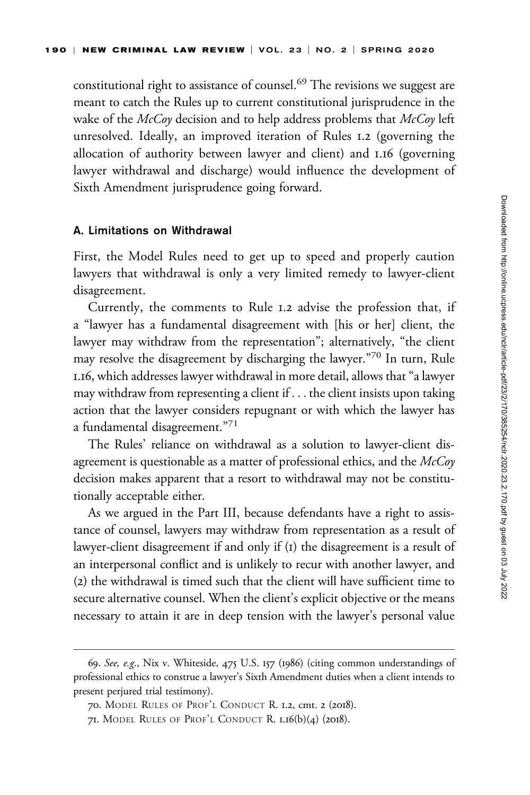constitutional right to assistance of counsel.<sup>69</sup> The revisions we suggest are meant to catch the Rules up to current constitutional jurisprudence in the wake of the  $McCov$  decision and to help address problems that  $McCov$  left unresolved. Ideally, an improved iteration of Rules 1.2 (governing the allocation of authority between lawyer and client) and 1.16 (governing lawyer withdrawal and discharge) would influence the development of Sixth Amendment jurisprudence going forward.

#### A. Limitations on Withdrawal

First, the Model Rules need to get up to speed and properly caution lawyers that withdrawal is only a very limited remedy to lawyer-client disagreement.

Currently, the comments to Rule 1.2 advise the profession that, if a "lawyer has a fundamental disagreement with [his or her] client, the lawyer may withdraw from the representation"; alternatively, "the client may resolve the disagreement by discharging the lawyer."<sup>70</sup> In turn, Rule 1.16, which addresses lawyer withdrawal in more detail, allows that "a lawyer may withdraw from representing a client if ... the client insists upon taking action that the lawyer considers repugnant or with which the lawyer has a fundamental disagreement."<sup>71</sup>

The Rules' reliance on withdrawal as a solution to lawyer-client disagreement is questionable as a matter of professional ethics, and the  $McCoy$ decision makes apparent that a resort to withdrawal may not be constitutionally acceptable either.

As we argued in the Part III, because defendants have a right to assistance of counsel, lawyers may withdraw from representation as a result of lawyer-client disagreement if and only if (1) the disagreement is a result of an interpersonal conflict and is unlikely to recur with another lawyer, and (2) the withdrawal is timed such that the client will have sufficient time to secure alternative counsel. When the client's explicit objective or the means necessary to attain it are in deep tension with the lawyer's personal value

<sup>69.</sup> See, e.g., Nix v. Whiteside, 475 U.S. 157 (1986) (citing common understandings of professional ethics to construe a lawyer's Sixth Amendment duties when a client intends to present perjured trial testimony).

<sup>70.</sup> MODEL RULES OF PROF'L CONDUCT R. 1.2, cmt. 2 (2018).

<sup>71.</sup> MODEL RULES OF PROF'L CONDUCT R. 1.16(b)(4) (2018).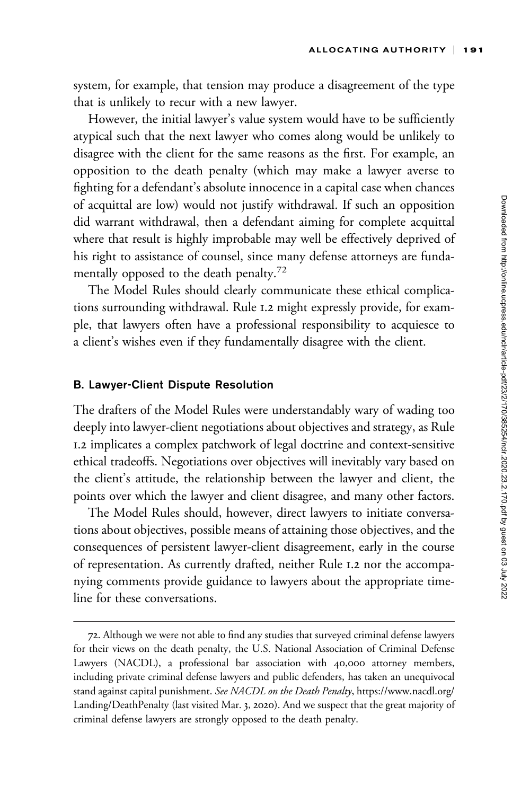system, for example, that tension may produce a disagreement of the type that is unlikely to recur with a new lawyer.

However, the initial lawyer's value system would have to be sufficiently atypical such that the next lawyer who comes along would be unlikely to disagree with the client for the same reasons as the first. For example, an opposition to the death penalty (which may make a lawyer averse to fighting for a defendant's absolute innocence in a capital case when chances of acquittal are low) would not justify withdrawal. If such an opposition did warrant withdrawal, then a defendant aiming for complete acquittal where that result is highly improbable may well be effectively deprived of his right to assistance of counsel, since many defense attorneys are fundamentally opposed to the death penalty.<sup>72</sup>

The Model Rules should clearly communicate these ethical complications surrounding withdrawal. Rule 1.2 might expressly provide, for example, that lawyers often have a professional responsibility to acquiesce to a client's wishes even if they fundamentally disagree with the client.

### B. Lawyer-Client Dispute Resolution

The drafters of the Model Rules were understandably wary of wading too deeply into lawyer-client negotiations about objectives and strategy, as Rule 1.2 implicates a complex patchwork of legal doctrine and context-sensitive ethical tradeoffs. Negotiations over objectives will inevitably vary based on the client's attitude, the relationship between the lawyer and client, the points over which the lawyer and client disagree, and many other factors.

The Model Rules should, however, direct lawyers to initiate conversations about objectives, possible means of attaining those objectives, and the consequences of persistent lawyer-client disagreement, early in the course of representation. As currently drafted, neither Rule 1.2 nor the accompanying comments provide guidance to lawyers about the appropriate timeline for these conversations.

<sup>72.</sup> Although we were not able to find any studies that surveyed criminal defense lawyers for their views on the death penalty, the U.S. National Association of Criminal Defense Lawyers (NACDL), a professional bar association with 40,000 attorney members, including private criminal defense lawyers and public defenders, has taken an unequivocal stand against capital punishment. See NACDL on the Death Penalty, [https://www.nacdl.org/](https://www.nacdl.org/Landing/DeathPenalty) [Landing/DeathPenalty](https://www.nacdl.org/Landing/DeathPenalty) (last visited Mar. 3, 2020). And we suspect that the great majority of criminal defense lawyers are strongly opposed to the death penalty.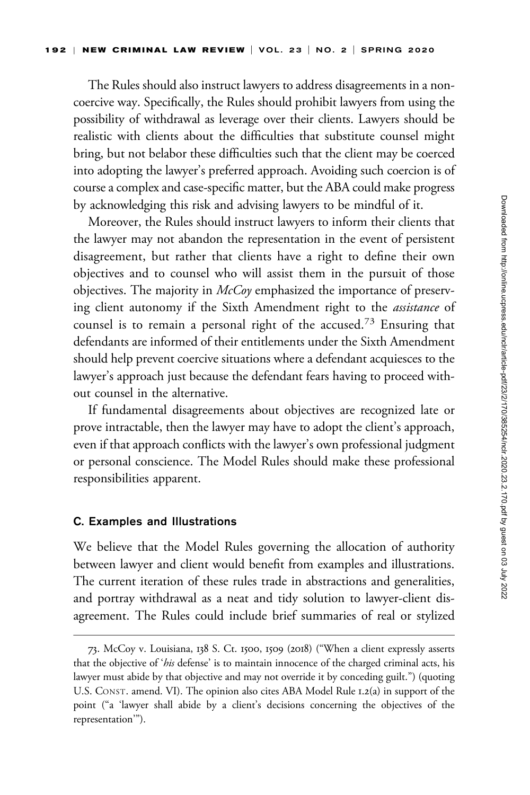The Rules should also instruct lawyers to address disagreements in a noncoercive way. Specifically, the Rules should prohibit lawyers from using the possibility of withdrawal as leverage over their clients. Lawyers should be realistic with clients about the difficulties that substitute counsel might bring, but not belabor these difficulties such that the client may be coerced into adopting the lawyer's preferred approach. Avoiding such coercion is of course a complex and case-specific matter, but the ABA could make progress by acknowledging this risk and advising lawyers to be mindful of it.

Moreover, the Rules should instruct lawyers to inform their clients that the lawyer may not abandon the representation in the event of persistent disagreement, but rather that clients have a right to define their own objectives and to counsel who will assist them in the pursuit of those objectives. The majority in  $McCov$  emphasized the importance of preserving client autonomy if the Sixth Amendment right to the *assistance* of counsel is to remain a personal right of the accused.<sup>73</sup> Ensuring that defendants are informed of their entitlements under the Sixth Amendment should help prevent coercive situations where a defendant acquiesces to the lawyer's approach just because the defendant fears having to proceed without counsel in the alternative.

If fundamental disagreements about objectives are recognized late or prove intractable, then the lawyer may have to adopt the client's approach, even if that approach conflicts with the lawyer's own professional judgment or personal conscience. The Model Rules should make these professional responsibilities apparent.

### C. Examples and Illustrations

We believe that the Model Rules governing the allocation of authority between lawyer and client would benefit from examples and illustrations. The current iteration of these rules trade in abstractions and generalities, and portray withdrawal as a neat and tidy solution to lawyer-client disagreement. The Rules could include brief summaries of real or stylized

<sup>73.</sup> McCoy v. Louisiana, 138 S. Ct. 1500, 1509 (2018) ("When a client expressly asserts that the objective of 'his defense' is to maintain innocence of the charged criminal acts, his lawyer must abide by that objective and may not override it by conceding guilt.") (quoting U.S. CONST. amend. VI). The opinion also cites ABA Model Rule 1.2(a) in support of the point ("a 'lawyer shall abide by a client's decisions concerning the objectives of the representation'").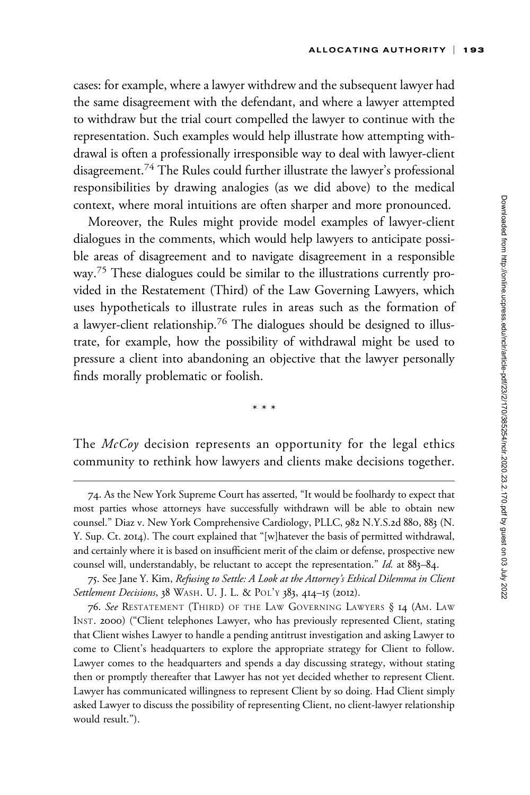cases: for example, where a lawyer withdrew and the subsequent lawyer had the same disagreement with the defendant, and where a lawyer attempted to withdraw but the trial court compelled the lawyer to continue with the representation. Such examples would help illustrate how attempting withdrawal is often a professionally irresponsible way to deal with lawyer-client disagreement.<sup>74</sup> The Rules could further illustrate the lawyer's professional responsibilities by drawing analogies (as we did above) to the medical context, where moral intuitions are often sharper and more pronounced.

Moreover, the Rules might provide model examples of lawyer-client dialogues in the comments, which would help lawyers to anticipate possible areas of disagreement and to navigate disagreement in a responsible way.<sup>75</sup> These dialogues could be similar to the illustrations currently provided in the Restatement (Third) of the Law Governing Lawyers, which uses hypotheticals to illustrate rules in areas such as the formation of a lawyer-client relationship.<sup>76</sup> The dialogues should be designed to illustrate, for example, how the possibility of withdrawal might be used to pressure a client into abandoning an objective that the lawyer personally finds morally problematic or foolish.

\*\*\*

The  $McCoy$  decision represents an opportunity for the legal ethics community to rethink how lawyers and clients make decisions together.

<sup>74.</sup> As the New York Supreme Court has asserted, "It would be foolhardy to expect that most parties whose attorneys have successfully withdrawn will be able to obtain new counsel." Diaz v. New York Comprehensive Cardiology, PLLC, 982 N.Y.S.2d 880, 883 (N. Y. Sup. Ct. 2014). The court explained that "[w]hatever the basis of permitted withdrawal, and certainly where it is based on insufficient merit of the claim or defense, prospective new counsel will, understandably, be reluctant to accept the representation." Id. at 883–84.

<sup>75.</sup> See Jane Y. Kim, Refusing to Settle: A Look at the Attorney's Ethical Dilemma in Client Settlement Decisions, 38 WASH. U. J. L. & POL'Y 383, 414-15 (2012).

<sup>76.</sup> See RESTATEMENT (THIRD) OF THE LAW GOVERNING LAWYERS § 14 (AM. LAW INST. 2000) ("Client telephones Lawyer, who has previously represented Client, stating that Client wishes Lawyer to handle a pending antitrust investigation and asking Lawyer to come to Client's headquarters to explore the appropriate strategy for Client to follow. Lawyer comes to the headquarters and spends a day discussing strategy, without stating then or promptly thereafter that Lawyer has not yet decided whether to represent Client. Lawyer has communicated willingness to represent Client by so doing. Had Client simply asked Lawyer to discuss the possibility of representing Client, no client-lawyer relationship would result.").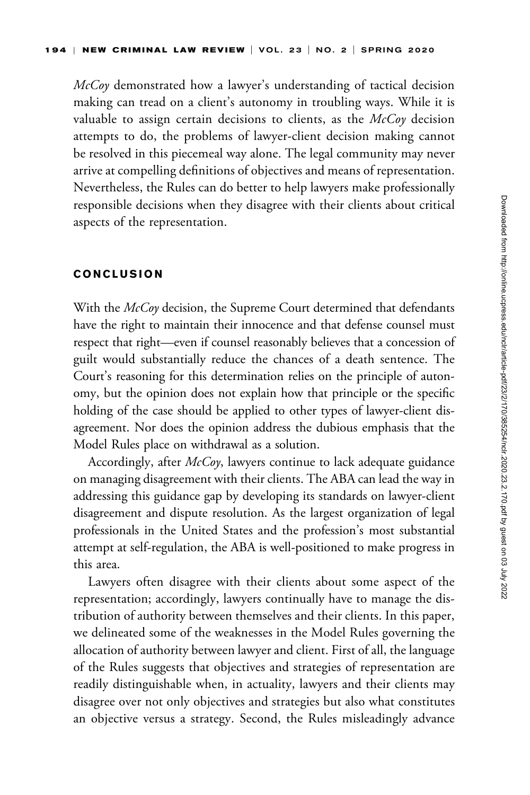McCoy demonstrated how a lawyer's understanding of tactical decision making can tread on a client's autonomy in troubling ways. While it is valuable to assign certain decisions to clients, as the  $McCoy$  decision attempts to do, the problems of lawyer-client decision making cannot be resolved in this piecemeal way alone. The legal community may never arrive at compelling definitions of objectives and means of representation. Nevertheless, the Rules can do better to help lawyers make professionally responsible decisions when they disagree with their clients about critical aspects of the representation.

#### CONCLUSION

With the McCoy decision, the Supreme Court determined that defendants have the right to maintain their innocence and that defense counsel must respect that right—even if counsel reasonably believes that a concession of guilt would substantially reduce the chances of a death sentence. The Court's reasoning for this determination relies on the principle of autonomy, but the opinion does not explain how that principle or the specific holding of the case should be applied to other types of lawyer-client disagreement. Nor does the opinion address the dubious emphasis that the Model Rules place on withdrawal as a solution.

Accordingly, after McCoy, lawyers continue to lack adequate guidance on managing disagreement with their clients. The ABA can lead the way in addressing this guidance gap by developing its standards on lawyer-client disagreement and dispute resolution. As the largest organization of legal professionals in the United States and the profession's most substantial attempt at self-regulation, the ABA is well-positioned to make progress in this area.

Lawyers often disagree with their clients about some aspect of the representation; accordingly, lawyers continually have to manage the distribution of authority between themselves and their clients. In this paper, we delineated some of the weaknesses in the Model Rules governing the allocation of authority between lawyer and client. First of all, the language of the Rules suggests that objectives and strategies of representation are readily distinguishable when, in actuality, lawyers and their clients may disagree over not only objectives and strategies but also what constitutes an objective versus a strategy. Second, the Rules misleadingly advance